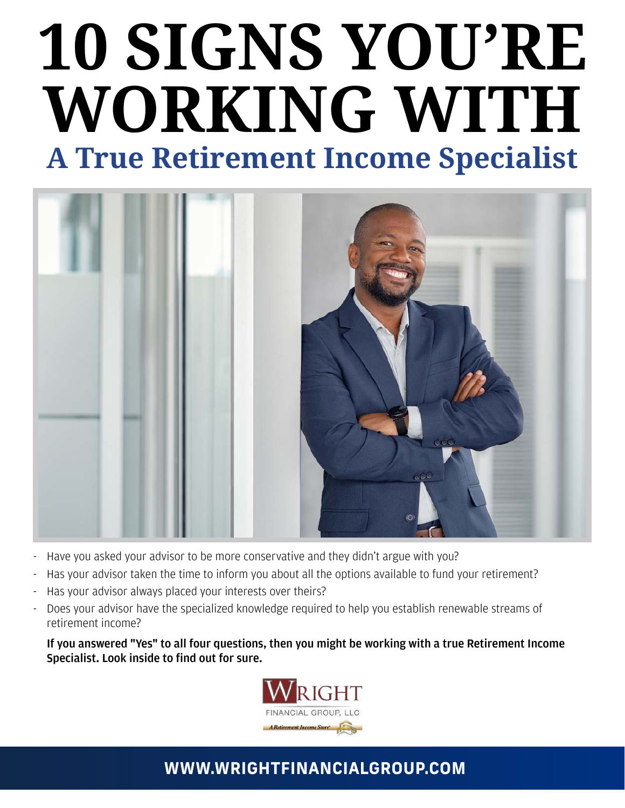# 10 SIGNS YOU'RE **WORKING WITH A True Retirement Income Specialist**



- Have you asked your advisor to be more conservative and they didn't argue with you?
- Has your advisor taken the time to inform you about all the options available to fund your retirement?
- Has your advisor always placed your interests over theirs?
- Does your advisor have the specialized knowledge required to help you establish renewable streams of retirement income?

 If you answered "Yes" to all four questions, then you might be working with a true Retirement Income Specialist. Look inside to find out for sure.



## **WWW.WRIGHTFINANCIALGROUP.COM**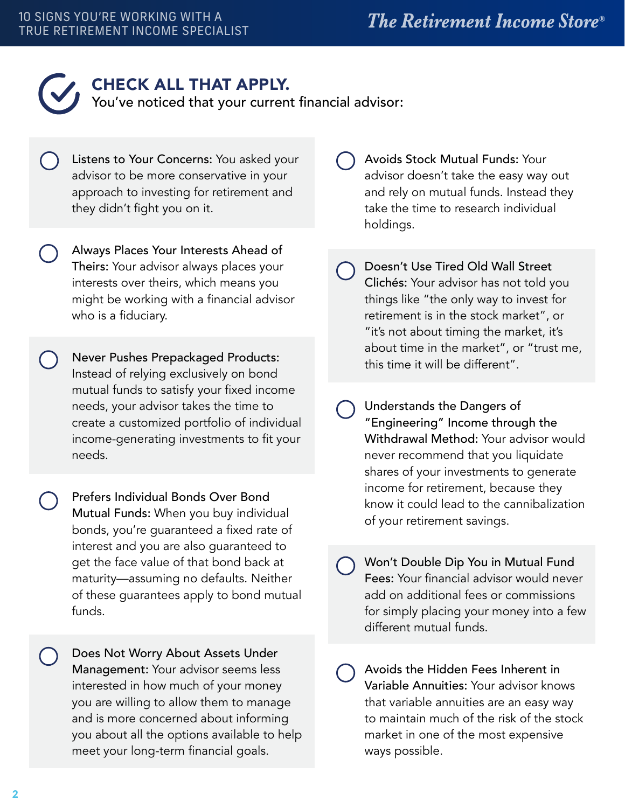

#### CHECK ALL THAT APPLY.

You've noticed that your current financial advisor:

- Listens to Your Concerns: You asked your advisor to be more conservative in your approach to investing for retirement and they didn't fight you on it.
- Always Places Your Interests Ahead of Theirs: Your advisor always places your interests over theirs, which means you might be working with a financial advisor who is a fiduciary.
- Never Pushes Prepackaged Products: Instead of relying exclusively on bond mutual funds to satisfy your fixed income needs, your advisor takes the time to create a customized portfolio of individual income-generating investments to fit your needs.
- Prefers Individual Bonds Over Bond Mutual Funds: When you buy individual bonds, you're guaranteed a fixed rate of interest and you are also guaranteed to get the face value of that bond back at maturity—assuming no defaults. Neither of these guarantees apply to bond mutual funds.
- Does Not Worry About Assets Under Management: Your advisor seems less interested in how much of your money you are willing to allow them to manage and is more concerned about informing you about all the options available to help meet your long-term financial goals.
- Avoids Stock Mutual Funds: Your advisor doesn't take the easy way out and rely on mutual funds. Instead they take the time to research individual holdings.
- Doesn't Use Tired Old Wall Street Clichés: Your advisor has not told you things like "the only way to invest for retirement is in the stock market", or "it's not about timing the market, it's about time in the market", or "trust me, this time it will be different".
- Understands the Dangers of "Engineering" Income through the Withdrawal Method: Your advisor would never recommend that you liquidate shares of your investments to generate income for retirement, because they know it could lead to the cannibalization of your retirement savings.
- Won't Double Dip You in Mutual Fund Fees: Your financial advisor would never add on additional fees or commissions for simply placing your money into a few different mutual funds.
- Avoids the Hidden Fees Inherent in Variable Annuities: Your advisor knows that variable annuities are an easy way to maintain much of the risk of the stock market in one of the most expensive ways possible.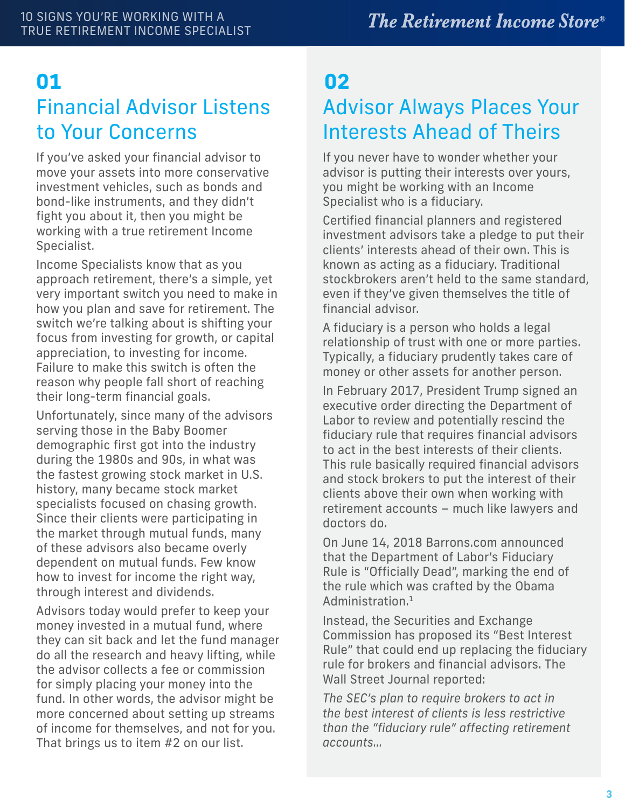## Financial Advisor Listens to Your Concerns **01 02**

If you've asked your financial advisor to move your assets into more conservative investment vehicles, such as bonds and bond-like instruments, and they didn't fight you about it, then you might be working with a true retirement Income Specialist.

Income Specialists know that as you approach retirement, there's a simple, yet very important switch you need to make in how you plan and save for retirement. The switch we're talking about is shifting your focus from investing for growth, or capital appreciation, to investing for income. Failure to make this switch is often the reason why people fall short of reaching their long-term financial goals.

Unfortunately, since many of the advisors serving those in the Baby Boomer demographic first got into the industry during the 1980s and 90s, in what was the fastest growing stock market in U.S. history, many became stock market specialists focused on chasing growth. Since their clients were participating in the market through mutual funds, many of these advisors also became overly dependent on mutual funds. Few know how to invest for income the right way, through interest and dividends.

Advisors today would prefer to keep your money invested in a mutual fund, where they can sit back and let the fund manager do all the research and heavy lifting, while the advisor collects a fee or commission for simply placing your money into the fund. In other words, the advisor might be more concerned about setting up streams of income for themselves, and not for you. That brings us to item #2 on our list.

# Advisor Always Places Your Interests Ahead of Theirs

If you never have to wonder whether your advisor is putting their interests over yours, you might be working with an Income Specialist who is a fiduciary.

Certified financial planners and registered investment advisors take a pledge to put their clients' interests ahead of their own. This is known as acting as a fiduciary. Traditional stockbrokers aren't held to the same standard, even if they've given themselves the title of financial advisor.

A fiduciary is a person who holds a legal relationship of trust with one or more parties. Typically, a fiduciary prudently takes care of money or other assets for another person.

In February 2017, President Trump signed an executive order directing the Department of Labor to review and potentially rescind the fiduciary rule that requires financial advisors to act in the best interests of their clients. This rule basically required financial advisors and stock brokers to put the interest of their clients above their own when working with retirement accounts – much like lawyers and doctors do.

On June 14, 2018 Barrons.com announced that the Department of Labor's Fiduciary Rule is "Officially Dead", marking the end of the rule which was crafted by the Obama Administration.<sup>1</sup>

Instead, the Securities and Exchange Commission has proposed its "Best Interest Rule" that could end up replacing the fiduciary rule for brokers and financial advisors. The Wall Street Journal reported:

*The SEC's plan to require brokers to act in the best interest of clients is less restrictive than the "fiduciary rule" affecting retirement accounts…*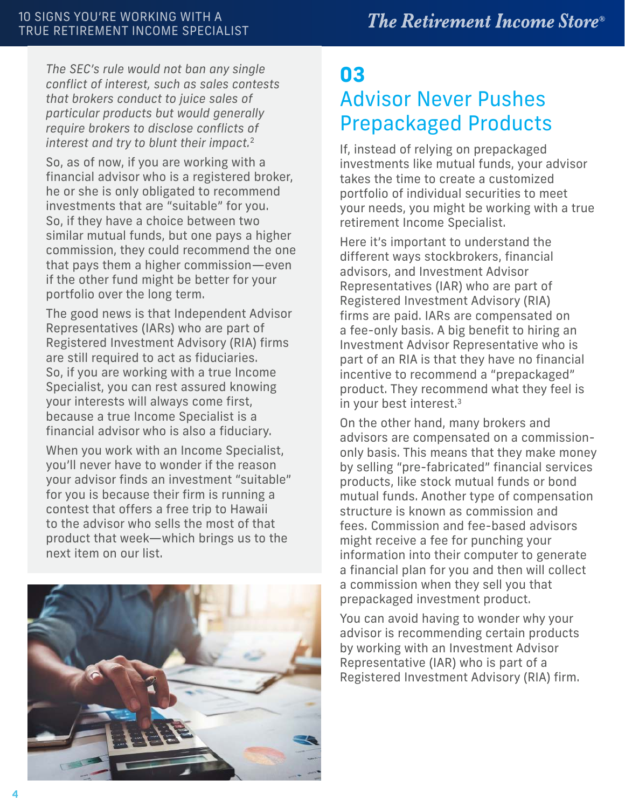*The SEC's rule would not ban any single conflict of interest, such as sales contests that brokers conduct to juice sales of particular products but would generally require brokers to disclose conflicts of interest and try to blunt their impact.*<sup>2</sup>

So, as of now, if you are working with a financial advisor who is a registered broker, he or she is only obligated to recommend investments that are "suitable" for you. So, if they have a choice between two similar mutual funds, but one pays a higher commission, they could recommend the one that pays them a higher commission—even if the other fund might be better for your portfolio over the long term.

The good news is that Independent Advisor Representatives (IARs) who are part of Registered Investment Advisory (RIA) firms are still required to act as fiduciaries. So, if you are working with a true Income Specialist, you can rest assured knowing your interests will always come first, because a true Income Specialist is a financial advisor who is also a fiduciary.

When you work with an Income Specialist, you'll never have to wonder if the reason your advisor finds an investment "suitable" for you is because their firm is running a contest that offers a free trip to Hawaii to the advisor who sells the most of that product that week—which brings us to the next item on our list.



# **03** Advisor Never Pushes Prepackaged Products

If, instead of relying on prepackaged investments like mutual funds, your advisor takes the time to create a customized portfolio of individual securities to meet your needs, you might be working with a true retirement Income Specialist.

Here it's important to understand the different ways stockbrokers, financial advisors, and Investment Advisor Representatives (IAR) who are part of Registered Investment Advisory (RIA) firms are paid. IARs are compensated on a fee-only basis. A big benefit to hiring an Investment Advisor Representative who is part of an RIA is that they have no financial incentive to recommend a "prepackaged" product. They recommend what they feel is in your best interest.<sup>3</sup>

On the other hand, many brokers and advisors are compensated on a commissiononly basis. This means that they make money by selling "pre-fabricated" financial services products, like stock mutual funds or bond mutual funds. Another type of compensation structure is known as commission and fees. Commission and fee-based advisors might receive a fee for punching your information into their computer to generate a financial plan for you and then will collect a commission when they sell you that prepackaged investment product.

You can avoid having to wonder why your advisor is recommending certain products by working with an Investment Advisor Representative (IAR) who is part of a Registered Investment Advisory (RIA) firm.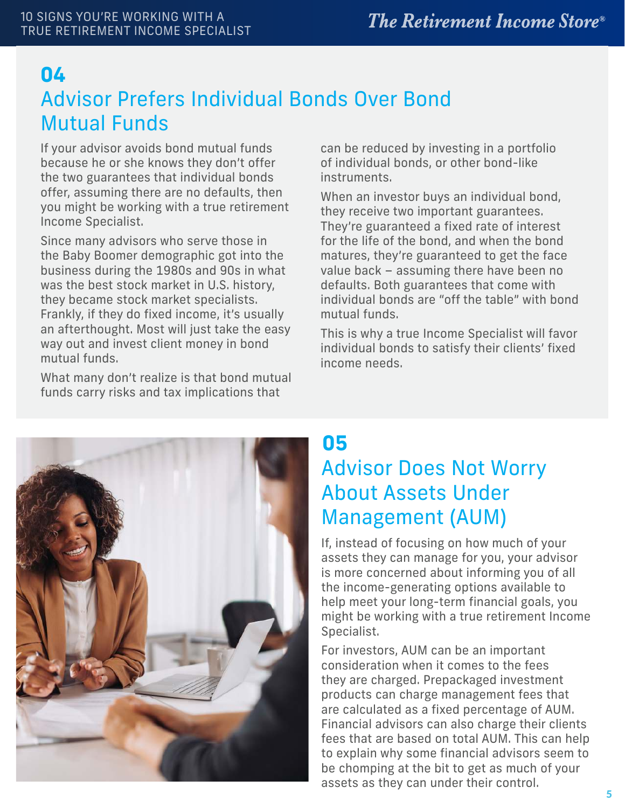#### **04**

## Advisor Prefers Individual Bonds Over Bond Mutual Funds

If your advisor avoids bond mutual funds because he or she knows they don't offer the two guarantees that individual bonds offer, assuming there are no defaults, then you might be working with a true retirement Income Specialist.

Since many advisors who serve those in the Baby Boomer demographic got into the business during the 1980s and 90s in what was the best stock market in U.S. history, they became stock market specialists. Frankly, if they do fixed income, it's usually an afterthought. Most will just take the easy way out and invest client money in bond mutual funds.

What many don't realize is that bond mutual funds carry risks and tax implications that

can be reduced by investing in a portfolio of individual bonds, or other bond-like instruments.

When an investor buys an individual bond, they receive two important guarantees. They're guaranteed a fixed rate of interest for the life of the bond, and when the bond matures, they're guaranteed to get the face value back – assuming there have been no defaults. Both guarantees that come with individual bonds are "off the table" with bond mutual funds.

This is why a true Income Specialist will favor individual bonds to satisfy their clients' fixed income needs.



#### **05**

# Advisor Does Not Worry About Assets Under Management (AUM)

If, instead of focusing on how much of your assets they can manage for you, your advisor is more concerned about informing you of all the income-generating options available to help meet your long-term financial goals, you might be working with a true retirement Income Specialist.

For investors, AUM can be an important consideration when it comes to the fees they are charged. Prepackaged investment products can charge management fees that are calculated as a fixed percentage of AUM. Financial advisors can also charge their clients fees that are based on total AUM. This can help to explain why some financial advisors seem to be chomping at the bit to get as much of your assets as they can under their control.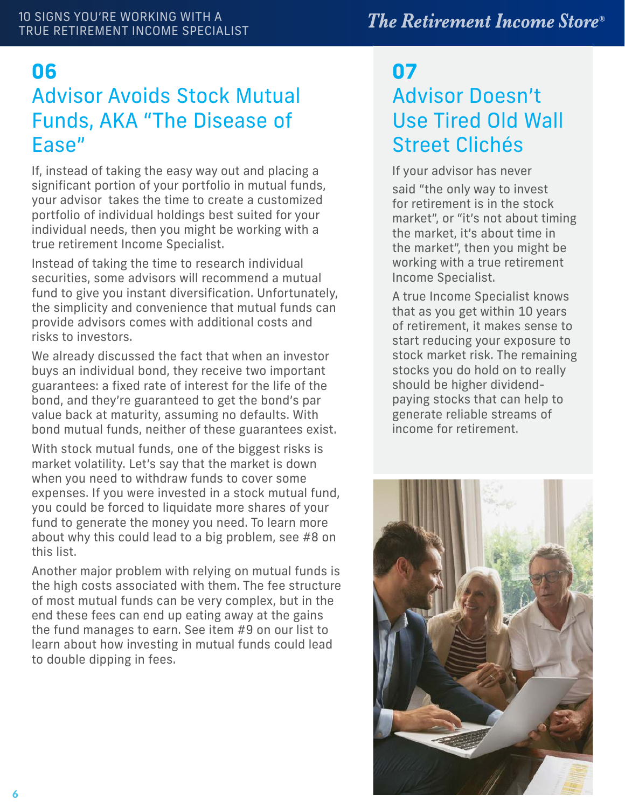#### **The Retirement Income Store®**

#### **06 07** Advisor Avoids Stock Mutual Funds, AKA "The Disease of Ease"

If, instead of taking the easy way out and placing a significant portion of your portfolio in mutual funds, your advisor takes the time to create a customized portfolio of individual holdings best suited for your individual needs, then you might be working with a true retirement Income Specialist.

Instead of taking the time to research individual securities, some advisors will recommend a mutual fund to give you instant diversification. Unfortunately, the simplicity and convenience that mutual funds can provide advisors comes with additional costs and risks to investors.

We already discussed the fact that when an investor buys an individual bond, they receive two important guarantees: a fixed rate of interest for the life of the bond, and they're guaranteed to get the bond's par value back at maturity, assuming no defaults. With bond mutual funds, neither of these guarantees exist.

With stock mutual funds, one of the biggest risks is market volatility. Let's say that the market is down when you need to withdraw funds to cover some expenses. If you were invested in a stock mutual fund, you could be forced to liquidate more shares of your fund to generate the money you need. To learn more about why this could lead to a big problem, see #8 on this list.

Another major problem with relying on mutual funds is the high costs associated with them. The fee structure of most mutual funds can be very complex, but in the end these fees can end up eating away at the gains the fund manages to earn. See item #9 on our list to learn about how investing in mutual funds could lead to double dipping in fees.

# Advisor Doesn't Use Tired Old Wall Street Clichés

If your advisor has never said "the only way to invest for retirement is in the stock market", or "it's not about timing the market, it's about time in the market", then you might be working with a true retirement Income Specialist.

A true Income Specialist knows that as you get within 10 years of retirement, it makes sense to start reducing your exposure to stock market risk. The remaining stocks you do hold on to really should be higher dividendpaying stocks that can help to generate reliable streams of income for retirement.

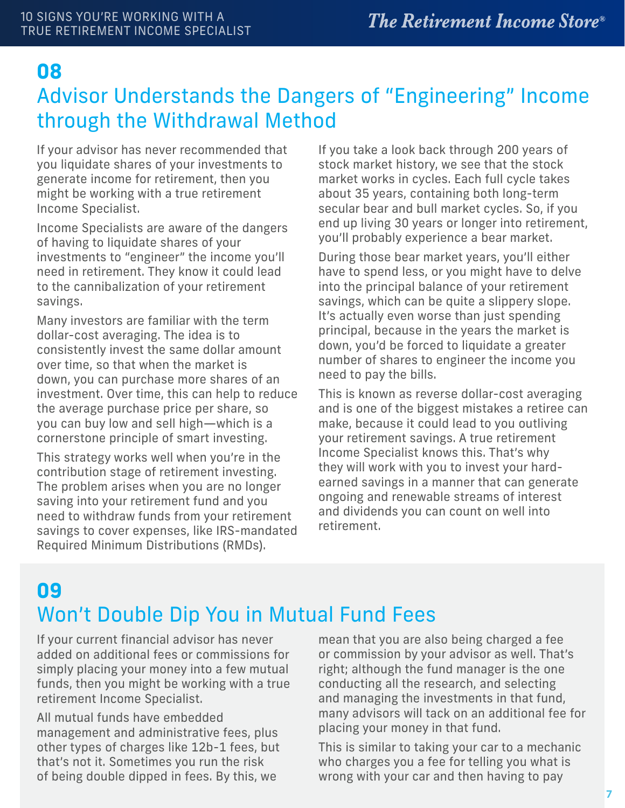#### **08**

#### Advisor Understands the Dangers of "Engineering" Income through the Withdrawal Method

If your advisor has never recommended that you liquidate shares of your investments to generate income for retirement, then you might be working with a true retirement Income Specialist.

Income Specialists are aware of the dangers of having to liquidate shares of your investments to "engineer" the income you'll need in retirement. They know it could lead to the cannibalization of your retirement savings.

Many investors are familiar with the term dollar-cost averaging. The idea is to consistently invest the same dollar amount over time, so that when the market is down, you can purchase more shares of an investment. Over time, this can help to reduce the average purchase price per share, so you can buy low and sell high—which is a cornerstone principle of smart investing.

This strategy works well when you're in the contribution stage of retirement investing. The problem arises when you are no longer saving into your retirement fund and you need to withdraw funds from your retirement savings to cover expenses, like IRS-mandated Required Minimum Distributions (RMDs).

If you take a look back through 200 years of stock market history, we see that the stock market works in cycles. Each full cycle takes about 35 years, containing both long-term secular bear and bull market cycles. So, if you end up living 30 years or longer into retirement, you'll probably experience a bear market.

During those bear market years, you'll either have to spend less, or you might have to delve into the principal balance of your retirement savings, which can be quite a slippery slope. It's actually even worse than just spending principal, because in the years the market is down, you'd be forced to liquidate a greater number of shares to engineer the income you need to pay the bills.

This is known as reverse dollar-cost averaging and is one of the biggest mistakes a retiree can make, because it could lead to you outliving your retirement savings. A true retirement Income Specialist knows this. That's why they will work with you to invest your hardearned savings in a manner that can generate ongoing and renewable streams of interest and dividends you can count on well into retirement.

# **09** Won't Double Dip You in Mutual Fund Fees

If your current financial advisor has never added on additional fees or commissions for simply placing your money into a few mutual funds, then you might be working with a true retirement Income Specialist.

All mutual funds have embedded management and administrative fees, plus other types of charges like 12b-1 fees, but that's not it. Sometimes you run the risk of being double dipped in fees. By this, we

mean that you are also being charged a fee or commission by your advisor as well. That's right; although the fund manager is the one conducting all the research, and selecting and managing the investments in that fund, many advisors will tack on an additional fee for placing your money in that fund.

This is similar to taking your car to a mechanic who charges you a fee for telling you what is wrong with your car and then having to pay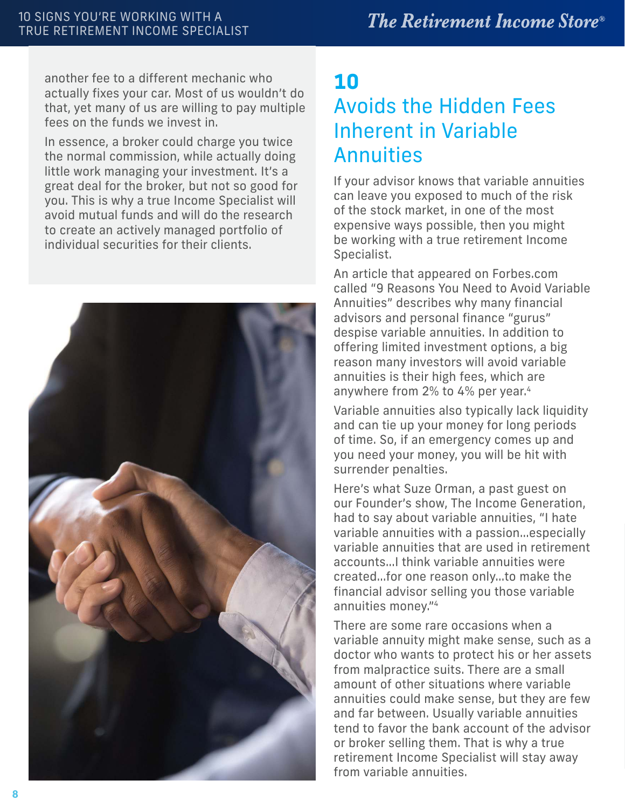another fee to a different mechanic who actually fixes your car. Most of us wouldn't do that, yet many of us are willing to pay multiple fees on the funds we invest in.

In essence, a broker could charge you twice the normal commission, while actually doing little work managing your investment. It's a great deal for the broker, but not so good for you. This is why a true Income Specialist will avoid mutual funds and will do the research to create an actively managed portfolio of individual securities for their clients.



## **10** Avoids the Hidden Fees Inherent in Variable **Annuities**

If your advisor knows that variable annuities can leave you exposed to much of the risk of the stock market, in one of the most expensive ways possible, then you might be working with a true retirement Income Specialist.

An article that appeared on Forbes.com called "9 Reasons You Need to Avoid Variable Annuities" describes why many financial advisors and personal finance "gurus" despise variable annuities. In addition to offering limited investment options, a big reason many investors will avoid variable annuities is their high fees, which are anywhere from 2% to 4% per year.<sup>4</sup>

Variable annuities also typically lack liquidity and can tie up your money for long periods of time. So, if an emergency comes up and you need your money, you will be hit with surrender penalties.

Here's what Suze Orman, a past guest on our Founder's show, The Income Generation, had to say about variable annuities, "I hate variable annuities with a passion…especially variable annuities that are used in retirement accounts…I think variable annuities were created…for one reason only…to make the financial advisor selling you those variable annuities money."<sup>4</sup>

There are some rare occasions when a variable annuity might make sense, such as a doctor who wants to protect his or her assets from malpractice suits. There are a small amount of other situations where variable annuities could make sense, but they are few and far between. Usually variable annuities tend to favor the bank account of the advisor or broker selling them. That is why a true retirement Income Specialist will stay away from variable annuities.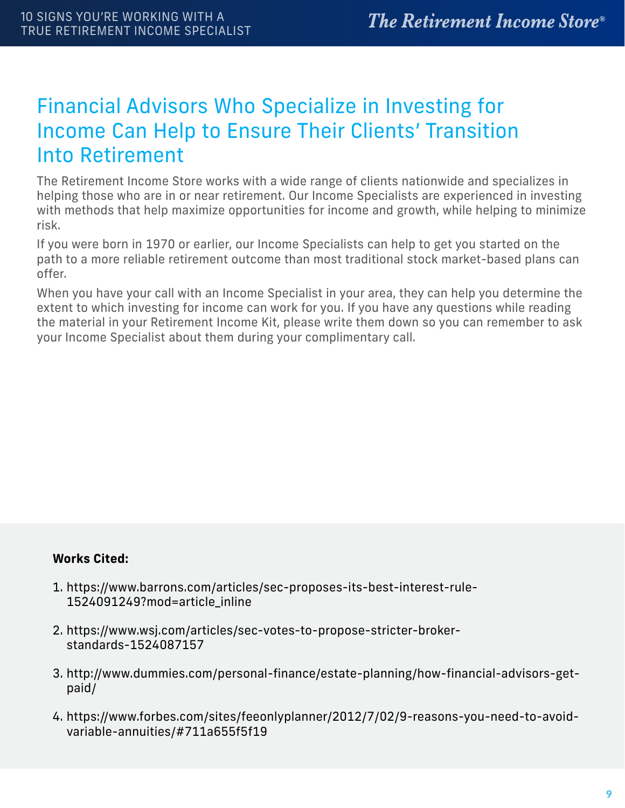## Financial Advisors Who Specialize in Investing for Income Can Help to Ensure Their Clients' Transition Into Retirement

The Retirement Income Store works with a wide range of clients nationwide and specializes in helping those who are in or near retirement. Our Income Specialists are experienced in investing with methods that help maximize opportunities for income and growth, while helping to minimize risk.

If you were born in 1970 or earlier, our Income Specialists can help to get you started on the path to a more reliable retirement outcome than most traditional stock market-based plans can offer.

When you have your call with an Income Specialist in your area, they can help you determine the extent to which investing for income can work for you. If you have any questions while reading the material in your Retirement Income Kit, please write them down so you can remember to ask your Income Specialist about them during your complimentary call.

#### **Works Cited:**

- 1. https://www.barrons.com/articles/sec-proposes-its-best-interest-rule-1524091249?mod=article\_inline
- 2. https://www.wsj.com/articles/sec-votes-to-propose-stricter-brokerstandards-1524087157
- 3. http://www.dummies.com/personal-finance/estate-planning/how-financial-advisors-getpaid/
- 4. https://www.forbes.com/sites/feeonlyplanner/2012/7/02/9-reasons-you-need-to-avoidvariable-annuities/#711a655f5f19